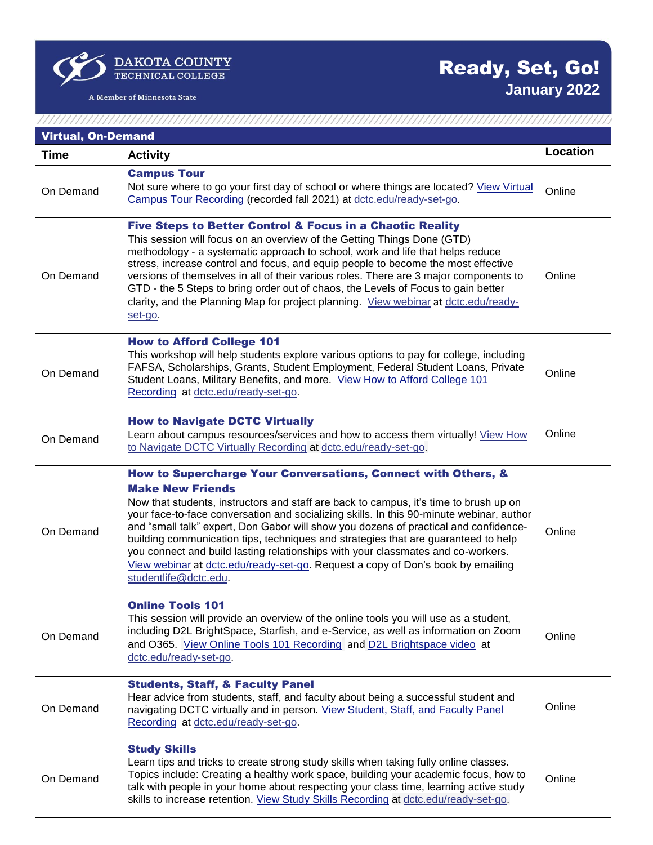$\sum_{\substack{\text{TECHNICAL COLEGE}}}$ 

A Member of Minnesota State

 $\varphi$ 

## Ready, Set, Go! **January 2022**

 $1111111111$ 

| <b>Virtual, On-Demand</b> |                                                                                                                                                                                                                                                                                                                                                                                                                                                                                                                                                                                                                                                             |          |  |
|---------------------------|-------------------------------------------------------------------------------------------------------------------------------------------------------------------------------------------------------------------------------------------------------------------------------------------------------------------------------------------------------------------------------------------------------------------------------------------------------------------------------------------------------------------------------------------------------------------------------------------------------------------------------------------------------------|----------|--|
| Time                      | <b>Activity</b>                                                                                                                                                                                                                                                                                                                                                                                                                                                                                                                                                                                                                                             | Location |  |
| On Demand                 | <b>Campus Tour</b><br>Not sure where to go your first day of school or where things are located? View Virtual<br>Campus Tour Recording (recorded fall 2021) at dctc.edu/ready-set-go.                                                                                                                                                                                                                                                                                                                                                                                                                                                                       | Online   |  |
| On Demand                 | <b>Five Steps to Better Control &amp; Focus in a Chaotic Reality</b><br>This session will focus on an overview of the Getting Things Done (GTD)<br>methodology - a systematic approach to school, work and life that helps reduce<br>stress, increase control and focus, and equip people to become the most effective<br>versions of themselves in all of their various roles. There are 3 major components to<br>GTD - the 5 Steps to bring order out of chaos, the Levels of Focus to gain better<br>clarity, and the Planning Map for project planning. View webinar at dctc.edu/ready-<br>set-go.                                                      | Online   |  |
| On Demand                 | <b>How to Afford College 101</b><br>This workshop will help students explore various options to pay for college, including<br>FAFSA, Scholarships, Grants, Student Employment, Federal Student Loans, Private<br>Student Loans, Military Benefits, and more. View How to Afford College 101<br>Recording at dctc.edu/ready-set-go.                                                                                                                                                                                                                                                                                                                          | Online   |  |
| On Demand                 | <b>How to Navigate DCTC Virtually</b><br>Learn about campus resources/services and how to access them virtually! View How<br>to Navigate DCTC Virtually Recording at dctc.edu/ready-set-go.                                                                                                                                                                                                                                                                                                                                                                                                                                                                 | Online   |  |
| On Demand                 | How to Supercharge Your Conversations, Connect with Others, &<br><b>Make New Friends</b><br>Now that students, instructors and staff are back to campus, it's time to brush up on<br>your face-to-face conversation and socializing skills. In this 90-minute webinar, author<br>and "small talk" expert, Don Gabor will show you dozens of practical and confidence-<br>building communication tips, techniques and strategies that are guaranteed to help<br>you connect and build lasting relationships with your classmates and co-workers.<br>View webinar at dctc.edu/ready-set-go. Request a copy of Don's book by emailing<br>studentlife@dctc.edu. | Online   |  |
| On Demand                 | <b>Online Tools 101</b><br>This session will provide an overview of the online tools you will use as a student,<br>including D2L BrightSpace, Starfish, and e-Service, as well as information on Zoom<br>and O365. View Online Tools 101 Recording and D2L Brightspace video at<br>dctc.edu/ready-set-go.                                                                                                                                                                                                                                                                                                                                                   | Online   |  |
| On Demand                 | <b>Students, Staff, &amp; Faculty Panel</b><br>Hear advice from students, staff, and faculty about being a successful student and<br>navigating DCTC virtually and in person. View Student, Staff, and Faculty Panel<br>Recording at dctc.edu/ready-set-go.                                                                                                                                                                                                                                                                                                                                                                                                 | Online   |  |
| On Demand                 | <b>Study Skills</b><br>Learn tips and tricks to create strong study skills when taking fully online classes.<br>Topics include: Creating a healthy work space, building your academic focus, how to<br>talk with people in your home about respecting your class time, learning active study<br>skills to increase retention. View Study Skills Recording at dctc.edu/ready-set-go.                                                                                                                                                                                                                                                                         | Online   |  |